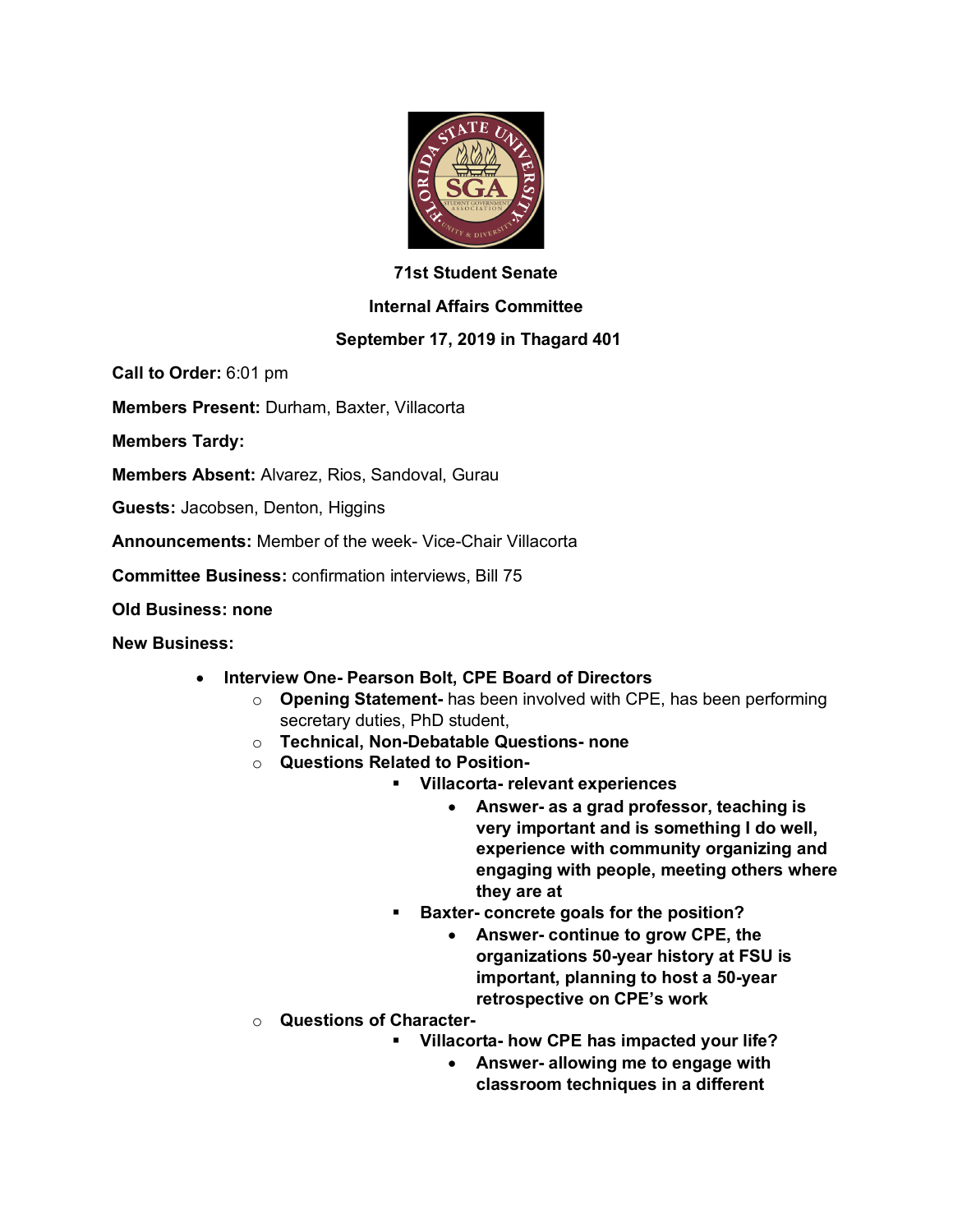

## **71st Student Senate**

## **Internal Affairs Committee**

## **September 17, 2019 in Thagard 401**

**Call to Order:** 6:01 pm

**Members Present:** Durham, Baxter, Villacorta

**Members Tardy:**

**Members Absent:** Alvarez, Rios, Sandoval, Gurau

**Guests:** Jacobsen, Denton, Higgins

**Announcements:** Member of the week- Vice-Chair Villacorta

**Committee Business:** confirmation interviews, Bill 75

**Old Business: none**

**New Business:**

- **Interview One- Pearson Bolt, CPE Board of Directors**
	- o **Opening Statement-** has been involved with CPE, has been performing secretary duties, PhD student,
	- o **Technical, Non-Debatable Questions- none**
	- o **Questions Related to Position-**
		- § **Villacorta- relevant experiences**
			- **Answer- as a grad professor, teaching is very important and is something I do well, experience with community organizing and engaging with people, meeting others where they are at**
		- § **Baxter- concrete goals for the position?**
			- **Answer- continue to grow CPE, the organizations 50-year history at FSU is important, planning to host a 50-year retrospective on CPE's work**
	- o **Questions of Character-**
		- § **Villacorta- how CPE has impacted your life?**
			- **Answer- allowing me to engage with classroom techniques in a different**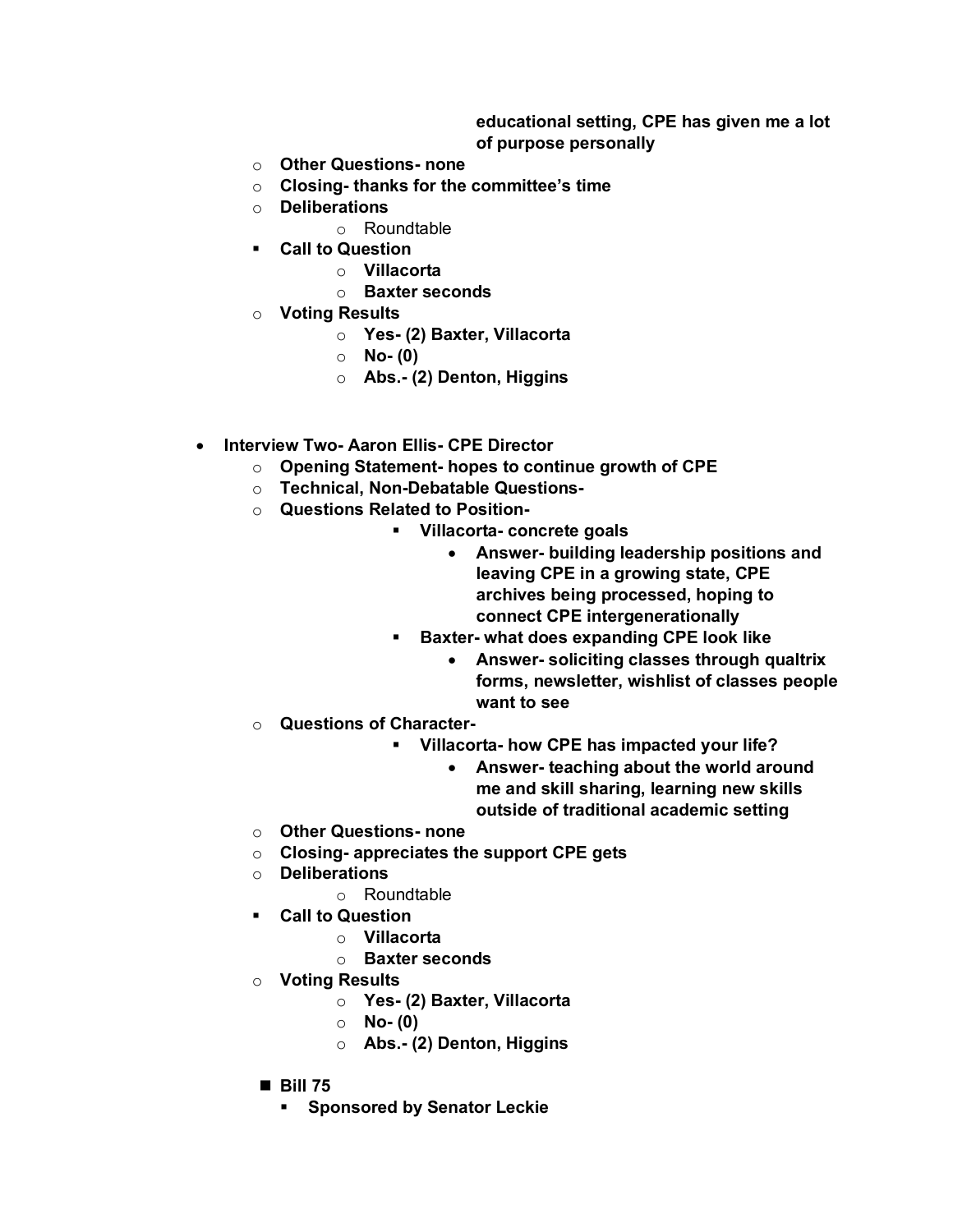## **educational setting, CPE has given me a lot of purpose personally**

- o **Other Questions- none**
- o **Closing- thanks for the committee's time**
- o **Deliberations**
	- o Roundtable
- § **Call to Question**
	- o **Villacorta**
	- o **Baxter seconds**
- o **Voting Results**
	- o **Yes- (2) Baxter, Villacorta**
	- o **No- (0)**
	- o **Abs.- (2) Denton, Higgins**
- **Interview Two- Aaron Ellis- CPE Director**
	- o **Opening Statement- hopes to continue growth of CPE**
	- o **Technical, Non-Debatable Questions-**
	- o **Questions Related to Position-**
		- § **Villacorta- concrete goals**
			- **Answer- building leadership positions and leaving CPE in a growing state, CPE archives being processed, hoping to connect CPE intergenerationally**
		- § **Baxter- what does expanding CPE look like**
			- **Answer- soliciting classes through qualtrix forms, newsletter, wishlist of classes people want to see**
	- o **Questions of Character-**
		- § **Villacorta- how CPE has impacted your life?**
			- **Answer- teaching about the world around me and skill sharing, learning new skills outside of traditional academic setting**
	- o **Other Questions- none**
	- o **Closing- appreciates the support CPE gets**
	- o **Deliberations**
		- o Roundtable
	- § **Call to Question**
		- o **Villacorta**
		- o **Baxter seconds**
	- o **Voting Results**
		- o **Yes- (2) Baxter, Villacorta**
		- o **No- (0)**
		- o **Abs.- (2) Denton, Higgins**
	- **Bill 75** 
		- § **Sponsored by Senator Leckie**